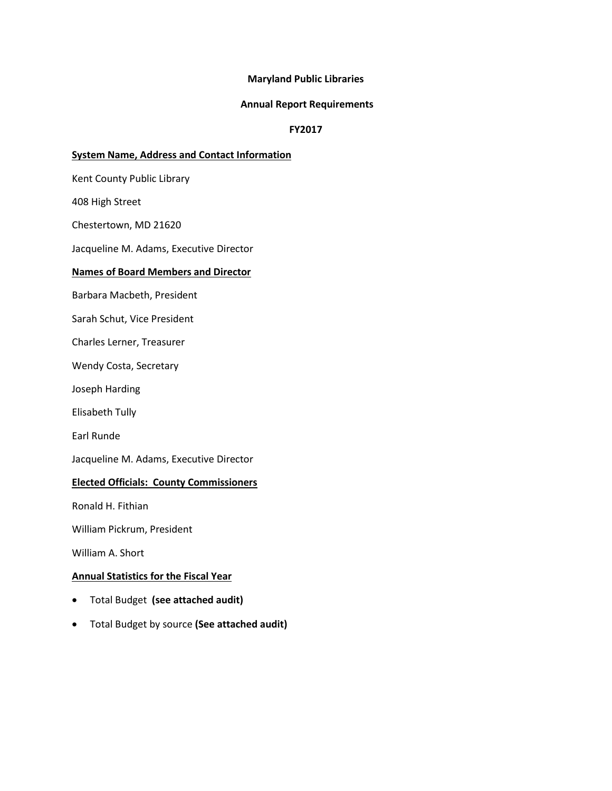### **Maryland Public Libraries**

#### **Annual Report Requirements**

## **FY2017**

### **System Name, Address and Contact Information**

Kent County Public Library

408 High Street

Chestertown, MD 21620

Jacqueline M. Adams, Executive Director

### **Names of Board Members and Director**

Barbara Macbeth, President

Sarah Schut, Vice President

Charles Lerner, Treasurer

Wendy Costa, Secretary

Joseph Harding

Elisabeth Tully

Earl Runde

Jacqueline M. Adams, Executive Director

### **Elected Officials: County Commissioners**

Ronald H. Fithian

William Pickrum, President

William A. Short

## **Annual Statistics for the Fiscal Year**

- Total Budget **(see attached audit)**
- Total Budget by source **(See attached audit)**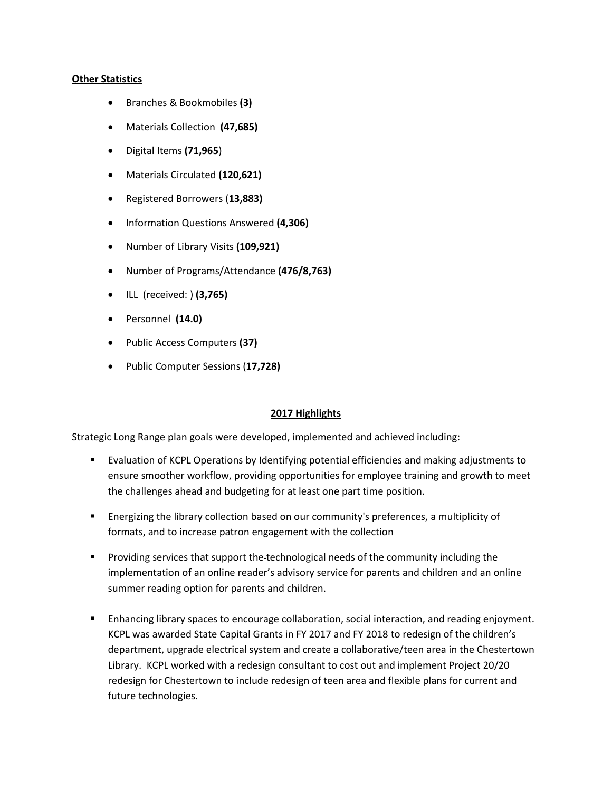### **Other Statistics**

- Branches & Bookmobiles **(3)**
- Materials Collection **(47,685)**
- Digital Items **(71,965**)
- Materials Circulated **(120,621)**
- Registered Borrowers (**13,883)**
- Information Questions Answered **(4,306)**
- Number of Library Visits **(109,921)**
- Number of Programs/Attendance **(476/8,763)**
- ILL (received: ) **(3,765)**
- Personnel **(14.0)**
- Public Access Computers **(37)**
- Public Computer Sessions (**17,728)**

## **2017 Highlights**

Strategic Long Range plan goals were developed, implemented and achieved including:

- Evaluation of KCPL Operations by Identifying potential efficiencies and making adjustments to ensure smoother workflow, providing opportunities for employee training and growth to meet the challenges ahead and budgeting for at least one part time position.
- Energizing the library collection based on our community's preferences, a multiplicity of formats, and to increase patron engagement with the collection
- **Providing services that support the-technological needs of the community including the** implementation of an online reader's advisory service for parents and children and an online summer reading option for parents and children.
- **E** Enhancing library spaces to encourage collaboration, social interaction, and reading enjoyment. KCPL was awarded State Capital Grants in FY 2017 and FY 2018 to redesign of the children's department, upgrade electrical system and create a collaborative/teen area in the Chestertown Library. KCPL worked with a redesign consultant to cost out and implement Project 20/20 redesign for Chestertown to include redesign of teen area and flexible plans for current and future technologies.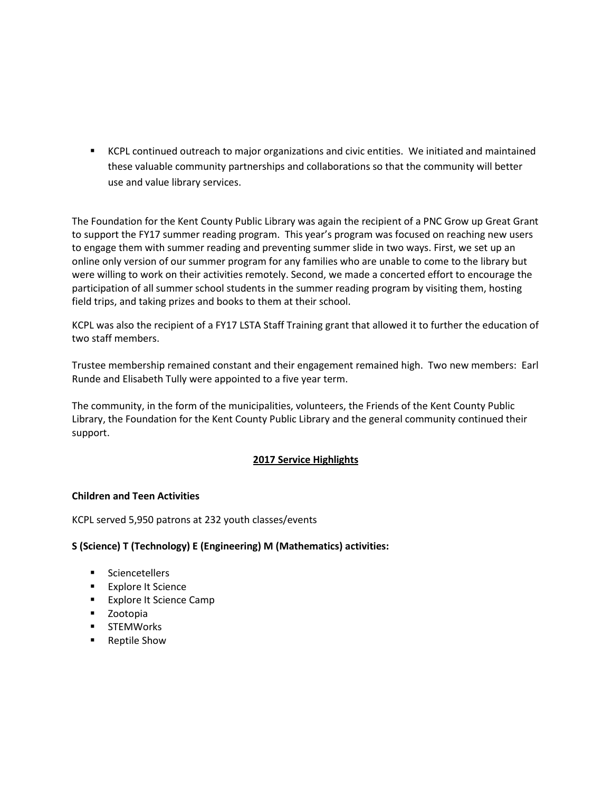KCPL continued outreach to major organizations and civic entities. We initiated and maintained these valuable community partnerships and collaborations so that the community will better use and value library services.

The Foundation for the Kent County Public Library was again the recipient of a PNC Grow up Great Grant to support the FY17 summer reading program. This year's program was focused on reaching new users to engage them with summer reading and preventing summer slide in two ways. First, we set up an online only version of our summer program for any families who are unable to come to the library but were willing to work on their activities remotely. Second, we made a concerted effort to encourage the participation of all summer school students in the summer reading program by visiting them, hosting field trips, and taking prizes and books to them at their school.

KCPL was also the recipient of a FY17 LSTA Staff Training grant that allowed it to further the education of two staff members.

Trustee membership remained constant and their engagement remained high. Two new members: Earl Runde and Elisabeth Tully were appointed to a five year term.

The community, in the form of the municipalities, volunteers, the Friends of the Kent County Public Library, the Foundation for the Kent County Public Library and the general community continued their support.

# **2017 Service Highlights**

## **Children and Teen Activities**

KCPL served 5,950 patrons at 232 youth classes/events

## **S (Science) T (Technology) E (Engineering) M (Mathematics) activities:**

- **Sciencetellers**
- **Explore It Science**
- **Explore It Science Camp**
- **E** Zootopia
- **STEMWorks**
- Reptile Show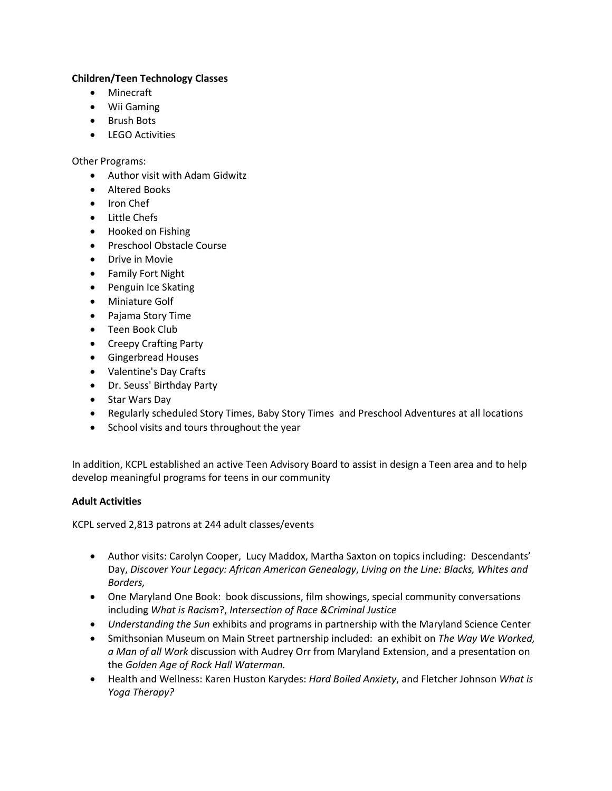## **Children/Teen Technology Classes**

- Minecraft
- Wii Gaming
- Brush Bots
- LEGO Activities

Other Programs:

- Author visit with Adam Gidwitz
- Altered Books
- Iron Chef
- Little Chefs
- Hooked on Fishing
- Preschool Obstacle Course
- **•** Drive in Movie
- Family Fort Night
- Penguin Ice Skating
- Miniature Golf
- Pajama Story Time
- Teen Book Club
- Creepy Crafting Party
- **•** Gingerbread Houses
- Valentine's Day Crafts
- Dr. Seuss' Birthday Party
- Star Wars Day
- Regularly scheduled Story Times, Baby Story Times and Preschool Adventures at all locations
- School visits and tours throughout the year

In addition, KCPL established an active Teen Advisory Board to assist in design a Teen area and to help develop meaningful programs for teens in our community

# **Adult Activities**

KCPL served 2,813 patrons at 244 adult classes/events

- Author visits: Carolyn Cooper, Lucy Maddox, Martha Saxton on topics including: Descendants' Day, *Discover Your Legacy: African American Genealogy*, *Living on the Line: Blacks, Whites and Borders,*
- One Maryland One Book: book discussions, film showings, special community conversations including *What is Racism*?, *Intersection of Race &Criminal Justice*
- *Understanding the Sun* exhibits and programs in partnership with the Maryland Science Center
- Smithsonian Museum on Main Street partnership included: an exhibit on *The Way We Worked, a Man of all Work* discussion with Audrey Orr from Maryland Extension, and a presentation on the *Golden Age of Rock Hall Waterman.*
- Health and Wellness: Karen Huston Karydes: *Hard Boiled Anxiety*, and Fletcher Johnson *What is Yoga Therapy?*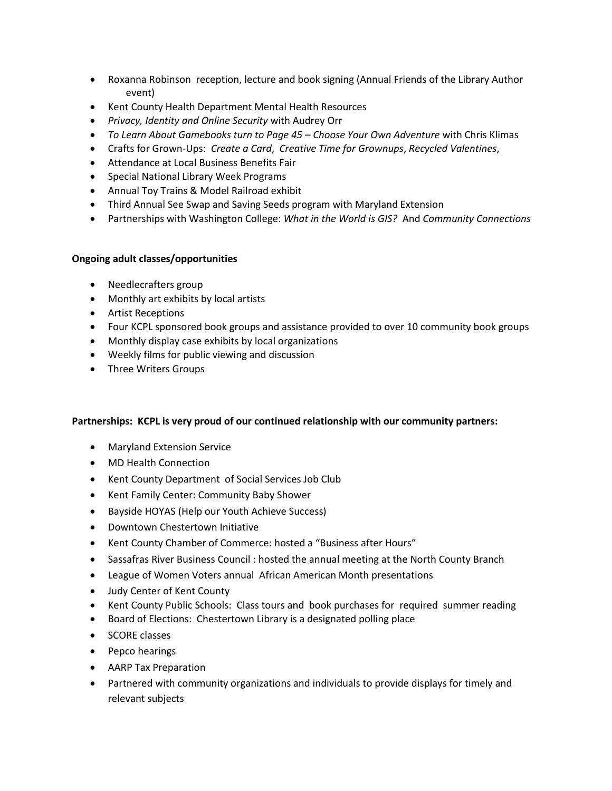- Roxanna Robinson reception, lecture and book signing (Annual Friends of the Library Author event)
- Kent County Health Department Mental Health Resources
- *Privacy, Identity and Online Security* with Audrey Orr
- *To Learn About Gamebooks turn to Page 45 – Choose Your Own Adventure* with Chris Klimas
- Crafts for Grown-Ups: *Create a Card*, *Creative Time for Grownups*, *Recycled Valentines*,
- Attendance at Local Business Benefits Fair
- Special National Library Week Programs
- Annual Toy Trains & Model Railroad exhibit
- Third Annual See Swap and Saving Seeds program with Maryland Extension
- Partnerships with Washington College: *What in the World is GIS?* And *Community Connections*

## **Ongoing adult classes/opportunities**

- Needlecrafters group
- Monthly art exhibits by local artists
- Artist Receptions
- Four KCPL sponsored book groups and assistance provided to over 10 community book groups
- Monthly display case exhibits by local organizations
- Weekly films for public viewing and discussion
- Three Writers Groups

## **Partnerships: KCPL is very proud of our continued relationship with our community partners:**

- Maryland Extension Service
- MD Health Connection
- Kent County Department of Social Services Job Club
- Kent Family Center: Community Baby Shower
- Bayside HOYAS (Help our Youth Achieve Success)
- Downtown Chestertown Initiative
- Kent County Chamber of Commerce: hosted a "Business after Hours"
- Sassafras River Business Council : hosted the annual meeting at the North County Branch
- League of Women Voters annual African American Month presentations
- Judy Center of Kent County
- Kent County Public Schools: Class tours and book purchases for required summer reading
- Board of Elections: Chestertown Library is a designated polling place
- SCORE classes
- Pepco hearings
- AARP Tax Preparation
- Partnered with community organizations and individuals to provide displays for timely and relevant subjects